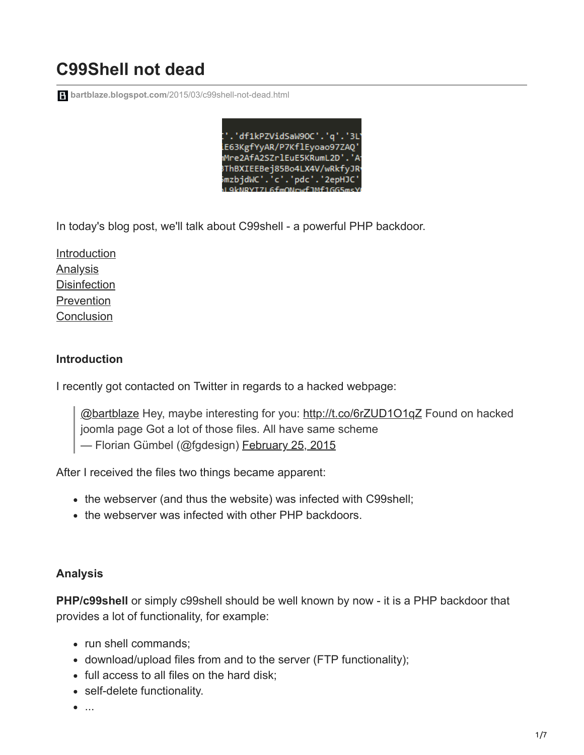# **C99Shell not dead**

**bartblaze.blogspot.com**[/2015/03/c99shell-not-dead.html](https://bartblaze.blogspot.com/2015/03/c99shell-not-dead.html)

.'df1kPZVidSaW9OC'.'q'.'3L iE63KgfYyAR/P7KflEyoao97ZAQ' Mre2AfA2SZrlEuE5KRumL2D' 3ThBXIEEBej85Bo4LX4V/wRkfyJR smzbjdWC'.'c'.'pdc'.'2epHJC

In today's blog post, we'll talk about C99shell - a powerful PHP backdoor.

[Introduction](https://bartblaze.blogspot.co.uk/2015/03/c99shell-not-dead.html#introduction) **[Analysis](https://bartblaze.blogspot.co.uk/2015/03/c99shell-not-dead.html#analysis) [Disinfection](https://bartblaze.blogspot.co.uk/2015/03/c99shell-not-dead.html#disinfection)** [Prevention](https://bartblaze.blogspot.co.uk/2015/03/c99shell-not-dead.html#prevention) **[Conclusion](https://bartblaze.blogspot.co.uk/2015/03/c99shell-not-dead.html#conclusion)** 

#### **Introduction**

I recently got contacted on Twitter in regards to a hacked webpage:

[@bartblaze](https://twitter.com/bartblaze) Hey, maybe interesting for you: <http://t.co/6rZUD1O1qZ> Found on hacked joomla page Got a lot of those files. All have same scheme — Florian Gümbel (@fgdesign) [February 25, 2015](https://twitter.com/fgdesign/status/570607038990041090)

After I received the files two things became apparent:

- the webserver (and thus the website) was infected with C99shell;
- the webserver was infected with other PHP backdoors.

#### **Analysis**

**PHP/c99shell** or simply c99shell should be well known by now - it is a PHP backdoor that provides a lot of functionality, for example:

- run shell commands:
- download/upload files from and to the server (FTP functionality);
- full access to all files on the hard disk;
- self-delete functionality.
- $\bullet$  ...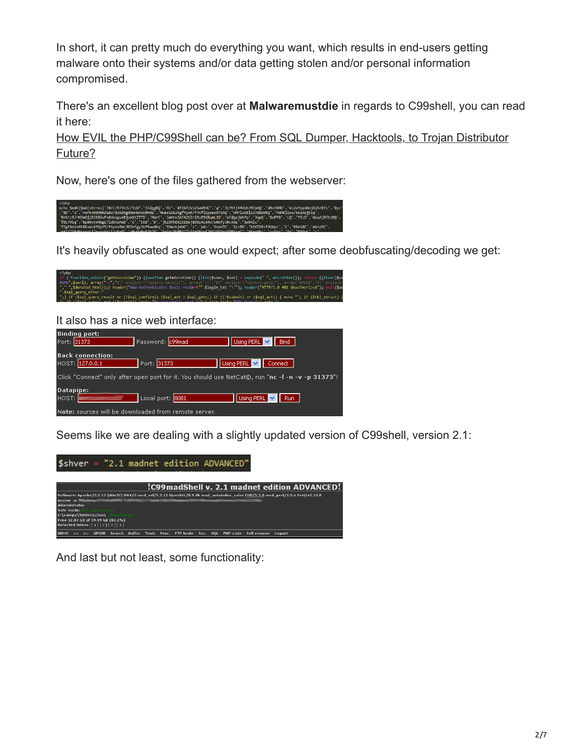In short, it can pretty much do everything you want, which results in end-users getting malware onto their systems and/or data getting stolen and/or personal information compromised.

There's an excellent blog post over at **Malwaremustdie** in regards to C99shell, you can read it here:

[How EVIL the PHP/C99Shell can be? From SQL Dumper, Hacktools, to Trojan Distributor](http://blog.malwaremustdie.org/2012/10/how-far-phpc99shell-malware-can-go-from.html) Future?

Now, here's one of the files gathered from the webserver:



It's heavily obfuscated as one would expect; after some deobfuscating/decoding we get:

ction\_exists("getmicrotime")) {f*unction* getmicrotime() {list(\$usec, \$sec) = explode(" ", microtime()); return ((float)\$u<br>url), array("<=","#\" onclick=\"history.back(1)"), array("=>","#\" onclick=\"history.go(1)"), array rn ((*float*)\$us puery\_error."<br>(\$sql\_qery\_result or (!\$sql\_confirm)) {\$sql\_act = \$sql\_goto;} if ((!\$submit) or (\$sql\_act)) { echo ""; if (\$tbl\_str<br>'\$col\_quanu\ and (!\$cubmit)\ fecho "Do you really want to":\ else fecho "SOL\_Quanu":\ echo

It also has a nice web interface:

|                                                                                                  | <b>Binding port:</b>    |                  |  |                            |                    |  |  |
|--------------------------------------------------------------------------------------------------|-------------------------|------------------|--|----------------------------|--------------------|--|--|
| Port: 31373                                                                                      |                         | Password: c99mad |  | Using PERL $\ \vee\ $ Bind |                    |  |  |
|                                                                                                  |                         |                  |  |                            |                    |  |  |
|                                                                                                  | <b>Back connection:</b> |                  |  |                            |                    |  |  |
|                                                                                                  | HOST: 127.0.0.1         | Port: 31373      |  | Using PERL V Connect       |                    |  |  |
|                                                                                                  |                         |                  |  |                            |                    |  |  |
| Click "Connect" only after open port for it. You should use NetCat©, run "nc -l -n -v -p 31373"! |                         |                  |  |                            |                    |  |  |
|                                                                                                  |                         |                  |  |                            |                    |  |  |
| Datapipe:                                                                                        |                         |                  |  |                            |                    |  |  |
| HOST:                                                                                            |                         | Local port: 8081 |  |                            | Using PERL V   Run |  |  |
|                                                                                                  |                         |                  |  |                            |                    |  |  |
| Note: sources will be downloaded from remote server.                                             |                         |                  |  |                            |                    |  |  |

Seems like we are dealing with a slightly updated version of C99shell, version 2.1:



And last but not least, some functionality: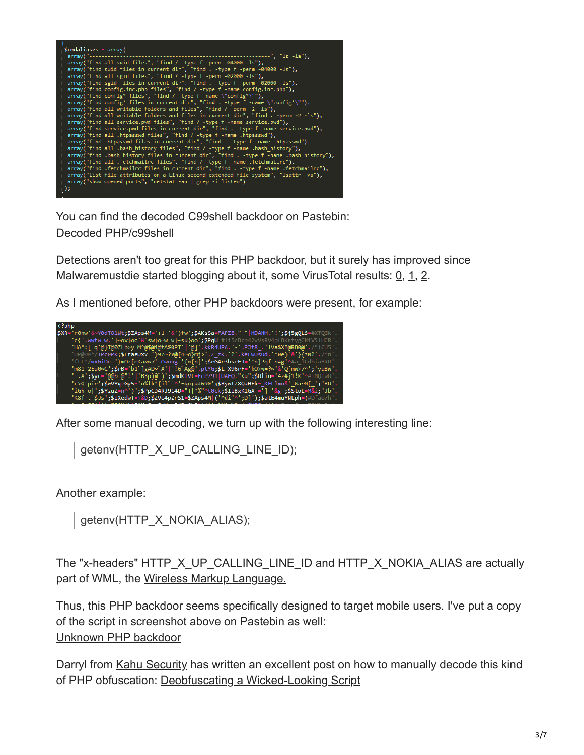| $$cmdaliases = array($                                                                  |  |  |  |  |  |
|-----------------------------------------------------------------------------------------|--|--|--|--|--|
| $array("---$<br>-------------------------", "ls -la"),                                  |  |  |  |  |  |
| $array("find all said files", "find / -type f -perm -04000 -ls"),$                      |  |  |  |  |  |
| array("find suid files in current dir", "find . -type f -perm -04000 -ls"),             |  |  |  |  |  |
| $array("find all grid files", "find / -type f -perm -02000 -ls"),$                      |  |  |  |  |  |
| array("find sgid files in current dir", "find . -type f -perm -02000 -ls"),             |  |  |  |  |  |
| array("find config.inc.php files", "find / -type f -name config.inc.php"),              |  |  |  |  |  |
|                                                                                         |  |  |  |  |  |
| $array("find config* files", "find / -type f -name \``config*\\").$                     |  |  |  |  |  |
| array("find config* files in current dir", "find . -type f -name \"config*\""),         |  |  |  |  |  |
| $array("find all writeable folders and files", "find / -perm -2 -ls"),$                 |  |  |  |  |  |
| array("find all writable folders and files in current dir", "find . -perm -2 -ls"),     |  |  |  |  |  |
| array("find all service.pwd files", "find / -type f -name service.pwd"),                |  |  |  |  |  |
| array("find service.pwd files in current dir", "find . -type f -name service.pwd"),     |  |  |  |  |  |
| array("find all .htpasswd files", "find / -type f -name .htpasswd"),                    |  |  |  |  |  |
| array("find .htpasswd files in current dir", "find . -type f -name .htpasswd"),         |  |  |  |  |  |
| array("find all .bash history files", "find / -type f -name .bash history"),            |  |  |  |  |  |
|                                                                                         |  |  |  |  |  |
| array("find .bash history files in current dir", "find . -type f -name .bash history"), |  |  |  |  |  |
| array("find all .fetchmailrc files", "find / -type f -name .fetchmailrc"),              |  |  |  |  |  |
| array("find .fetchmailrc files in current dir", "find . -type f -name .fetchmailrc"),   |  |  |  |  |  |
| array("list file attributes on a Linux second extended file system", "lsattr -va"),     |  |  |  |  |  |
| $array("show opened ports", "netstat -an   prep -i listen")$                            |  |  |  |  |  |
| );                                                                                      |  |  |  |  |  |
|                                                                                         |  |  |  |  |  |

You can find the decoded C99shell backdoor on Pastebin: [Decoded PHP/c99shell](http://pastebin.com/L02T4kFp)

Detections aren't too great for this PHP backdoor, but it surely has improved since Malwaremustdie started blogging about it, some VirusTotal results:  $\underline{0}$ ,  $\underline{1}$ ,  $\underline{2}$  $\underline{2}$  $\underline{2}$ .

As I mentioned before, other PHP backdoors were present, for example:



After some manual decoding, we turn up with the following interesting line:

getenv(HTTP\_X\_UP\_CALLING\_LINE\_ID);

Another example:

getenv(HTTP\_X\_NOKIA\_ALIAS);

The "x-headers" HTTP X UP CALLING LINE ID and HTTP X NOKIA ALIAS are actually part of WML, the [Wireless Markup Language.](http://en.wikipedia.org/wiki/Wireless_Markup_Language)

Thus, this PHP backdoor seems specifically designed to target mobile users. I've put a copy of the script in screenshot above on Pastebin as well: [Unknown PHP backdoor](http://pastebin.com/a8VFXq9i)

Darryl from [Kahu Security](https://twitter.com/kahusecurity) has written an excellent post on how to manually decode this kind of PHP obfuscation: [Deobfuscating a Wicked-Looking Script](http://www.kahusecurity.com/2015/deobfuscating-a-wicked-looking-script/)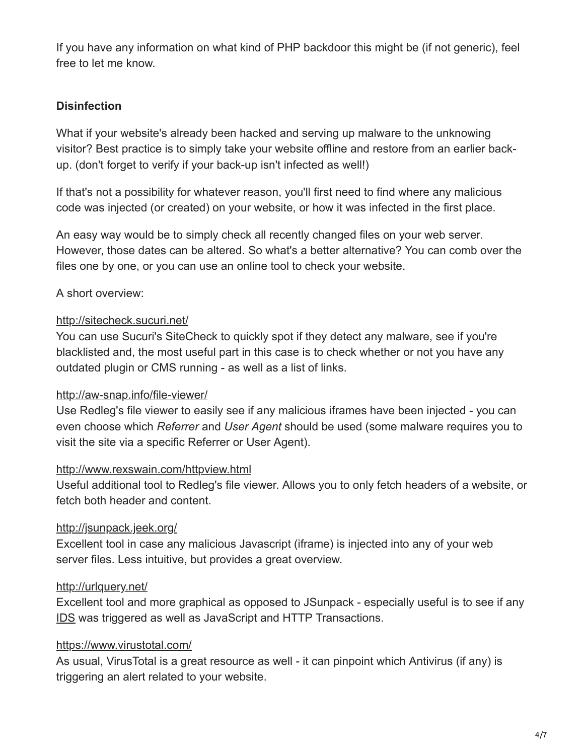If you have any information on what kind of PHP backdoor this might be (if not generic), feel free to let me know.

## **Disinfection**

What if your website's already been hacked and serving up malware to the unknowing visitor? Best practice is to simply take your website offline and restore from an earlier backup. (don't forget to verify if your back-up isn't infected as well!)

If that's not a possibility for whatever reason, you'll first need to find where any malicious code was injected (or created) on your website, or how it was infected in the first place.

An easy way would be to simply check all recently changed files on your web server. However, those dates can be altered. So what's a better alternative? You can comb over the files one by one, or you can use an online tool to check your website.

## A short overview:

#### <http://sitecheck.sucuri.net/>

You can use Sucuri's SiteCheck to quickly spot if they detect any malware, see if you're blacklisted and, the most useful part in this case is to check whether or not you have any outdated plugin or CMS running - as well as a list of links.

#### <http://aw-snap.info/file-viewer/>

Use Redleg's file viewer to easily see if any malicious iframes have been injected - you can even choose which *Referrer* and *User Agent* should be used (some malware requires you to visit the site via a specific Referrer or User Agent).

#### <http://www.rexswain.com/httpview.html>

Useful additional tool to Redleg's file viewer. Allows you to only fetch headers of a website, or fetch both header and content.

## <http://jsunpack.jeek.org/>

Excellent tool in case any malicious Javascript (iframe) is injected into any of your web server files. Less intuitive, but provides a great overview.

## <http://urlquery.net/>

Excellent tool and more graphical as opposed to JSunpack - especially useful is to see if any [IDS](http://en.wikipedia.org/wiki/Intrusion_detection_system) was triggered as well as JavaScript and HTTP Transactions.

## <https://www.virustotal.com/>

As usual, VirusTotal is a great resource as well - it can pinpoint which Antivirus (if any) is triggering an alert related to your website.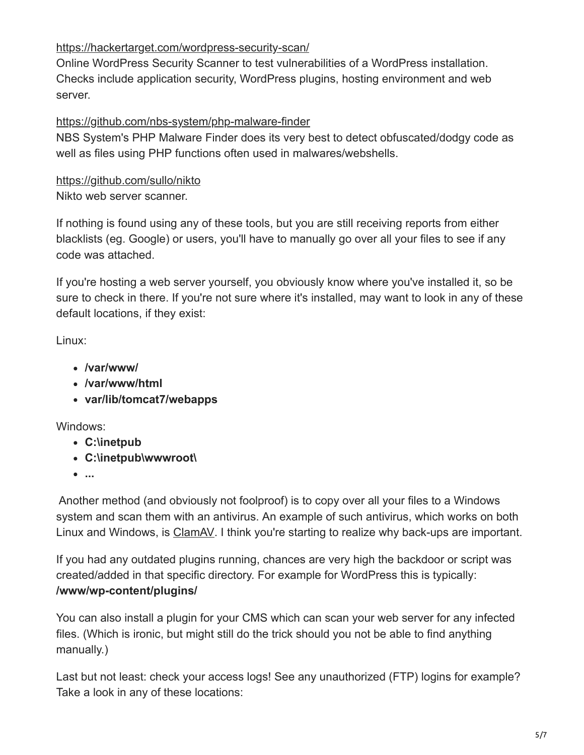## <https://hackertarget.com/wordpress-security-scan/>

Online WordPress Security Scanner to test vulnerabilities of a WordPress installation. Checks include application security, WordPress plugins, hosting environment and web server.

#### <https://github.com/nbs-system/php-malware-finder>

NBS System's PHP Malware Finder does its very best to detect obfuscated/dodgy code as well as files using PHP functions often used in malwares/webshells.

# <https://github.com/sullo/nikto>

Nikto web server scanner.

If nothing is found using any of these tools, but you are still receiving reports from either blacklists (eg. Google) or users, you'll have to manually go over all your files to see if any code was attached.

If you're hosting a web server yourself, you obviously know where you've installed it, so be sure to check in there. If you're not sure where it's installed, may want to look in any of these default locations, if they exist:

Linux:

- **/var/www/**
- **/var/www/html**
- **var/lib/tomcat7/webapps**

Windows:

- **C:\inetpub**
- **C:\inetpub\wwwroot\**
- **...**

Another method (and obviously not foolproof) is to copy over all your files to a Windows system and scan them with an antivirus. An example of such antivirus, which works on both Linux and Windows, is [ClamAV.](https://www.clamav.net/) I think you're starting to realize why back-ups are important.

If you had any outdated plugins running, chances are very high the backdoor or script was created/added in that specific directory. For example for WordPress this is typically: **/www/wp-content/plugins/**

You can also install a plugin for your CMS which can scan your web server for any infected files. (Which is ironic, but might still do the trick should you not be able to find anything manually.)

Last but not least: check your access logs! See any unauthorized (FTP) logins for example? Take a look in any of these locations: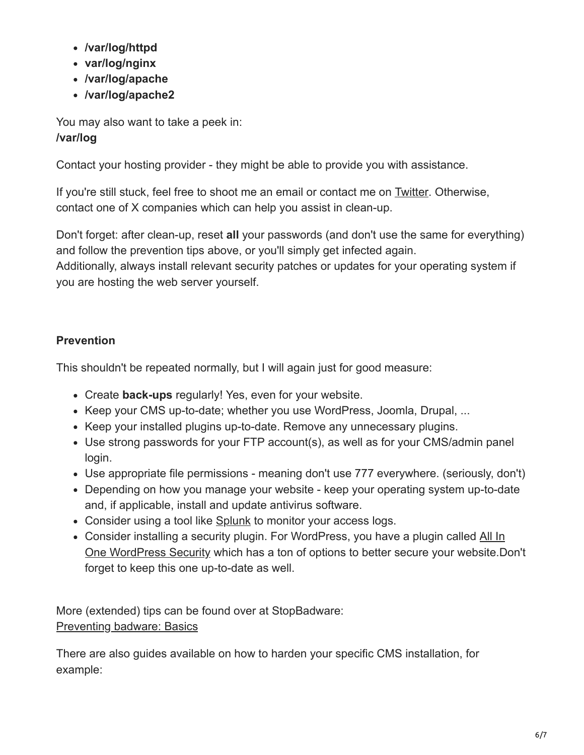- **/var/log/httpd**
- **var/log/nginx**
- **/var/log/apache**
- **/var/log/apache2**

You may also want to take a peek in: **/var/log**

Contact your hosting provider - they might be able to provide you with assistance.

If you're still stuck, feel free to shoot me an email or contact me on [Twitter](https://twitter.com/bartblaze). Otherwise, contact one of X companies which can help you assist in clean-up.

Don't forget: after clean-up, reset **all** your passwords (and don't use the same for everything) and follow the prevention tips above, or you'll simply get infected again.

Additionally, always install relevant security patches or updates for your operating system if you are hosting the web server yourself.

## **Prevention**

This shouldn't be repeated normally, but I will again just for good measure:

- Create **back-ups** regularly! Yes, even for your website.
- Keep your CMS up-to-date; whether you use WordPress, Joomla, Drupal, ...
- Keep your installed plugins up-to-date. Remove any unnecessary plugins.
- Use strong passwords for your FTP account(s), as well as for your CMS/admin panel login.
- Use appropriate file permissions meaning don't use 777 everywhere. (seriously, don't)
- Depending on how you manage your website keep your operating system up-to-date and, if applicable, install and update antivirus software.
- Consider using a tool like [Splunk](http://www.splunk.com/en_us/products/splunk-light.html) to monitor your access logs.
- Consider installing a security plugin. For WordPress, you have a plugin called All In [One WordPress Security which has a ton of options to better secure your website.D](https://wordpress.org/plugins/all-in-one-wp-security-and-firewall/)on't forget to keep this one up-to-date as well.

More (extended) tips can be found over at StopBadware: [Preventing badware: Basics](https://www.stopbadware.org/prevent-badware-basics)

There are also guides available on how to harden your specific CMS installation, for example: